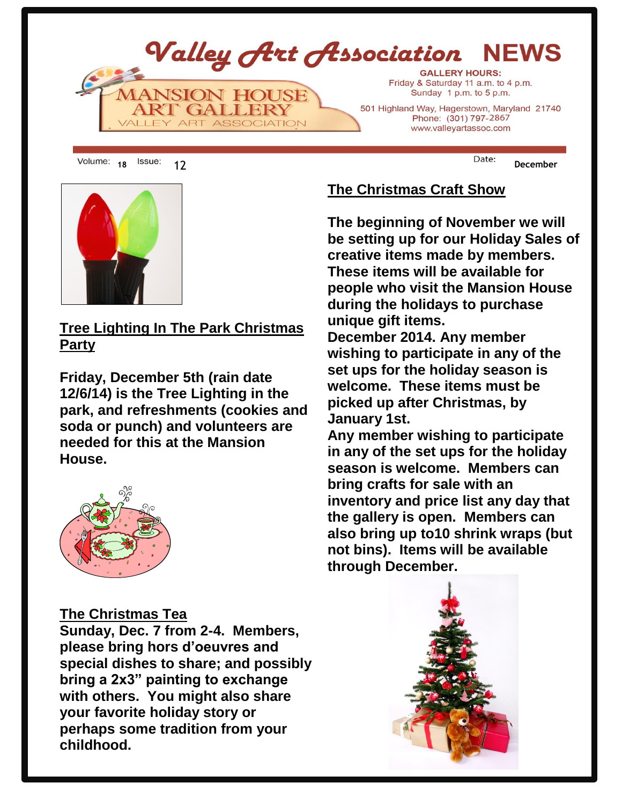

18 <sup>ISSUE:</sup> 12 **December** 



**Lightin <u>Tree Lighting In The Park Christmas</u> Park. Party** 

**Friday, December 5th (rain date and special dishes to share. 12/6/14) is the Tree Lighting in the**  park, and refreshments (cookies and **soda or punch) and volunteers are** working to ensure the Association of the Association of the Association of the Association of the Association of <br>The Association of the Association of the Association of the Association of the Association of the Associati **will enjoy a fiscally secure future. Also, needed for this at the Mansion currently there exists a need to purchase House.** 



#### **obligations may be met. Your input is important! Please contact any Board The Christmas Tea**

Sunday, Dec. 7 from 2-4. Members, **them. Thank you in advance for your time and efforts. please bring hors d'oeuvres and**  refollowing to a member of a member of the set of the set of the set of the set of the set of the set of the set of the set of the set of the set of the set of the set of the set of the set of the set of the set of the set **showing their works in the month of bring a 2x3" painting to exchange**  with others. You might also share **Destination Arts Show Arts Show Arts Show Several VAA members known as the perhaps some tradition from your**   $\blacksquare$  childhood. **special dishes to share; and possibly your favorite holiday story or** 

**the Arts Alliance of Greater Waynesboro. The show is taking place at Gallery 20 The Christmas Craft Show**

**The beginning of November we will beginning of novom** be setting up for our Holiday Sales of creative items made by members. **Hours are: These items will be available for Fridays from 5:00 to 8:00 p.m. people who visit the Mansion House Saturdays from 12:00 to 6:00 p.m. during the holidays to purchase unique gift items.** 

**December 2014. Any member their event on FB, Contact Janie Moltrup or Nancy Arsenovic. As for the boosting wishing to participate in any of the set ups for the holiday season is** welcome. These items must be **website. picked up after Christmas, by Wednesday Night Art Class January 1st.**

**Dates: Continuous Day: Wednesday 6:30-9pm Location: Mansion House Any member wishing to participate**  in any of the set ups for the holiday **Tressler is teaching a class in both oil season is welcome. Members can and acrylic every Wednesday night bring crafts for sale with an inventory and price list any day that levels. Each student gets individual attention and is encouraged to work on the gallery is open. Members can**  also bring up to10 shrink wraps (but **wish to paint the paint of the set of the set of the set of the set of the set of the set of the set of the set of the set of the set of the set of the set of the set of the set of the set of the set of the set of the set not bins). Items will be available friendly, relaxed atmosphere with fun through December.**

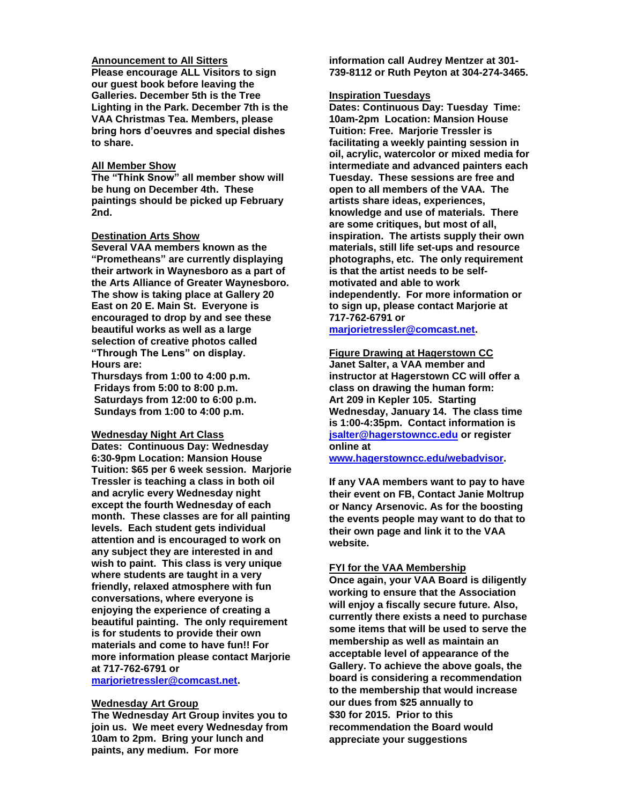#### **Announcement to All Sitters**

**Please encourage ALL Visitors to sign our guest book before leaving the Galleries. December 5th is the Tree Lighting in the Park. December 7th is the VAA Christmas Tea. Members, please bring hors d'oeuvres and special dishes to share.**

#### **All Member Show**

**The "Think Snow" all member show will be hung on December 4th. These paintings should be picked up February 2nd.**

#### **Destination Arts Show**

**Several VAA members known as the "Prometheans" are currently displaying their artwork in Waynesboro as a part of the Arts Alliance of Greater Waynesboro. The show is taking place at Gallery 20 East on 20 E. Main St. Everyone is encouraged to drop by and see these beautiful works as well as a large selection of creative photos called "Through The Lens" on display. Hours are:**

**Thursdays from 1:00 to 4:00 p.m. Fridays from 5:00 to 8:00 p.m. Saturdays from 12:00 to 6:00 p.m. Sundays from 1:00 to 4:00 p.m.**

#### **Wednesday Night Art Class**

**Dates: Continuous Day: Wednesday 6:30-9pm Location: Mansion House Tuition: \$65 per 6 week session. Marjorie Tressler is teaching a class in both oil and acrylic every Wednesday night except the fourth Wednesday of each month. These classes are for all painting levels. Each student gets individual attention and is encouraged to work on any subject they are interested in and wish to paint. This class is very unique where students are taught in a very friendly, relaxed atmosphere with fun conversations, where everyone is enjoying the experience of creating a beautiful painting. The only requirement is for students to provide their own materials and come to have fun!! For more information please contact Marjorie at 717-762-6791 or** 

**[marjorietressler@comcast.net.](mailto:marjorietressler@comcast.net)**

#### **Wednesday Art Group**

**The Wednesday Art Group invites you to join us. We meet every Wednesday from 10am to 2pm. Bring your lunch and paints, any medium. For more** 

**information call Audrey Mentzer at 301- 739-8112 or Ruth Peyton at 304-274-3465.**

#### **Inspiration Tuesdays**

**Dates: Continuous Day: Tuesday Time: 10am-2pm Location: Mansion House Tuition: Free. Marjorie Tressler is facilitating a weekly painting session in oil, acrylic, watercolor or mixed media for intermediate and advanced painters each Tuesday. These sessions are free and open to all members of the VAA. The artists share ideas, experiences, knowledge and use of materials. There are some critiques, but most of all, inspiration. The artists supply their own materials, still life set-ups and resource photographs, etc. The only requirement is that the artist needs to be selfmotivated and able to work independently. For more information or to sign up, please contact Marjorie at 717-762-6791 or** 

**[marjorietressler@comcast.net.](mailto:marjorietressler@comcast.net)**

#### **Figure Drawing at Hagerstown CC**

**Janet Salter, a VAA member and instructor at Hagerstown CC will offer a class on drawing the human form: Art 209 in Kepler 105. Starting Wednesday, January 14. The class time is 1:00-4:35pm. Contact information is [jsalter@hagerstowncc.edu](mailto:jsalter@hagerstowncc.edu) or register online at** 

**[www.hagerstowncc.edu/webadvisor.](http://www.hagerstowncc.edu/webadvisor)**

**If any VAA members want to pay to have their event on FB, Contact Janie Moltrup or Nancy Arsenovic. As for the boosting the events people may want to do that to their own page and link it to the VAA website.**

#### **FYI for the VAA Membership**

**Once again, your VAA Board is diligently working to ensure that the Association will enjoy a fiscally secure future. Also, currently there exists a need to purchase some items that will be used to serve the membership as well as maintain an acceptable level of appearance of the Gallery. To achieve the above goals, the board is considering a recommendation to the membership that would increase our dues from \$25 annually to \$30 for 2015. Prior to this recommendation the Board would appreciate your suggestions**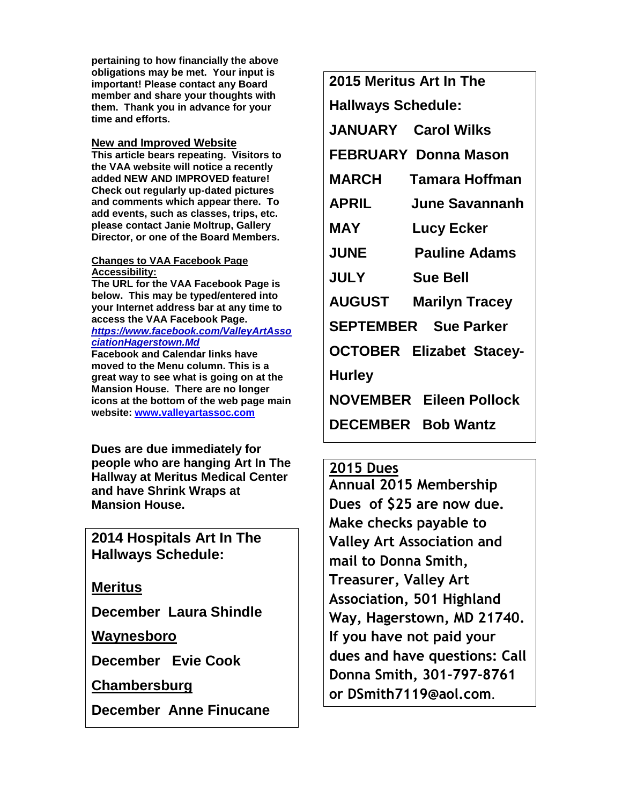**pertaining to how financially the above obligations may be met. Your input is important! Please contact any Board member and share your thoughts with them. Thank you in advance for your time and efforts.**

### **New and Improved Website**

**This article bears repeating. Visitors to the VAA website will notice a recently added NEW AND IMPROVED feature! Check out regularly up-dated pictures and comments which appear there. To add events, such as classes, trips, etc. please contact Janie Moltrup, Gallery Director, or one of the Board Members.**

#### **Changes to VAA Facebook Page Accessibility:**

**The URL for the VAA Facebook Page is below. This may be typed/entered into your Internet address bar at any time to access the VAA Facebook Page.** *[https://www.facebook.com/ValleyArtAsso](https://www.facebook.com/ValleyArtAssociationHagerstown.Md) [ciationHagerstown.Md](https://www.facebook.com/ValleyArtAssociationHagerstown.Md)* **Facebook and Calendar links have** 

**moved to the Menu column. This is a great way to see what is going on at the Mansion House. There are no longer icons at the bottom of the web page main website: [www.valleyartassoc.com](http://www.valleyartassoc.com/)**

**Dues are due immediately for people who are hanging Art In The Hallway at Meritus Medical Center and have Shrink Wraps at Mansion House.**

**2014 Hospitals Art In The Hallways Schedule:**

**Meritus** 

**December Laura Shindle**

**Waynesboro**

**December Evie Cook**

**Chambersburg**

**December Anne Finucane**

**2015 Meritus Art In The Hallways Schedule:**

**JANUARY Carol Wilks**

**FEBRUARY Donna Mason**

- **MARCH Tamara Hoffman**
- **APRIL June Savannanh**
- **MAY Lucy Ecker**
- **JUNE Pauline Adams**
- **JULY Sue Bell**

**AUGUST Marilyn Tracey**

**SEPTEMBER Sue Parker**

**OCTOBER Elizabet Stacey-**

**Hurley**

**NOVEMBER Eileen Pollock**

**DECEMBER Bob Wantz** 

## **2015 Dues**

**Annual 2015 Membership Dues of \$25 are now due. Make checks payable to Valley Art Association and mail to Donna Smith, Treasurer, Valley Art Association, 501 Highland Way, Hagerstown, MD 21740. If you have not paid your dues and have questions: Call Donna Smith, 301-797-8761 or DSmith7119@aol.com.**